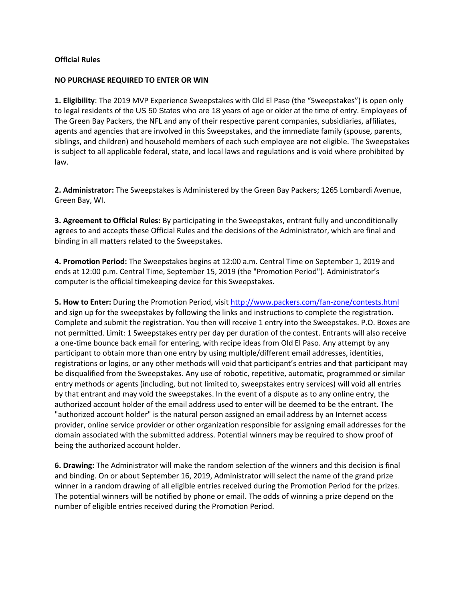#### **Official Rules**

#### **NO PURCHASE REQUIRED TO ENTER OR WIN**

**1. Eligibility**: The 2019 MVP Experience Sweepstakes with Old El Paso (the "Sweepstakes") is open only to legal residents of the US 50 States who are 18 years of age or older at the time of entry. Employees of The Green Bay Packers, the NFL and any of their respective parent companies, subsidiaries, affiliates, agents and agencies that are involved in this Sweepstakes, and the immediate family (spouse, parents, siblings, and children) and household members of each such employee are not eligible. The Sweepstakes is subject to all applicable federal, state, and local laws and regulations and is void where prohibited by law.

**2. Administrator:** The Sweepstakes is Administered by the Green Bay Packers; 1265 Lombardi Avenue, Green Bay, WI.

**3. Agreement to Official Rules:** By participating in the Sweepstakes, entrant fully and unconditionally agrees to and accepts these Official Rules and the decisions of the Administrator, which are final and binding in all matters related to the Sweepstakes.

**4. Promotion Period:** The Sweepstakes begins at 12:00 a.m. Central Time on September 1, 2019 and ends at 12:00 p.m. Central Time, September 15, 2019 (the "Promotion Period"). Administrator's computer is the official timekeeping device for this Sweepstakes.

**5. How to Enter:** During the Promotion Period, visit <http://www.packers.com/fan-zone/contests.html> and sign up for the sweepstakes by following the links and instructions to complete the registration. Complete and submit the registration. You then will receive 1 entry into the Sweepstakes. P.O. Boxes are not permitted. Limit: 1 Sweepstakes entry per day per duration of the contest. Entrants will also receive a one-time bounce back email for entering, with recipe ideas from Old El Paso. Any attempt by any participant to obtain more than one entry by using multiple/different email addresses, identities, registrations or logins, or any other methods will void that participant's entries and that participant may be disqualified from the Sweepstakes. Any use of robotic, repetitive, automatic, programmed or similar entry methods or agents (including, but not limited to, sweepstakes entry services) will void all entries by that entrant and may void the sweepstakes. In the event of a dispute as to any online entry, the authorized account holder of the email address used to enter will be deemed to be the entrant. The "authorized account holder" is the natural person assigned an email address by an Internet access provider, online service provider or other organization responsible for assigning email addresses for the domain associated with the submitted address. Potential winners may be required to show proof of being the authorized account holder.

**6. Drawing:** The Administrator will make the random selection of the winners and this decision is final and binding. On or about September 16, 2019, Administrator will select the name of the grand prize winner in a random drawing of all eligible entries received during the Promotion Period for the prizes. The potential winners will be notified by phone or email. The odds of winning a prize depend on the number of eligible entries received during the Promotion Period.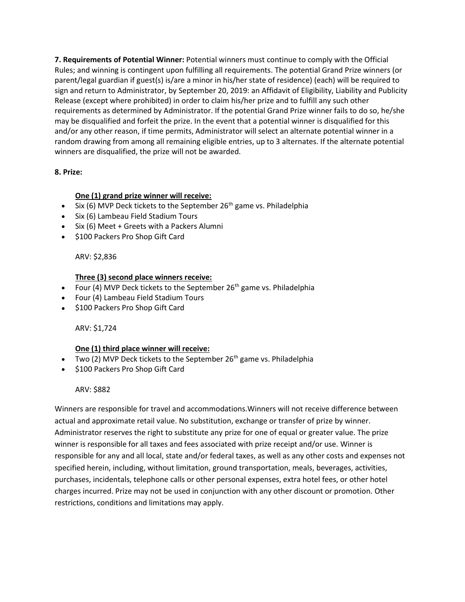**7. Requirements of Potential Winner:** Potential winners must continue to comply with the Official Rules; and winning is contingent upon fulfilling all requirements. The potential Grand Prize winners (or parent/legal guardian if guest(s) is/are a minor in his/her state of residence) (each) will be required to sign and return to Administrator, by September 20, 2019: an Affidavit of Eligibility, Liability and Publicity Release (except where prohibited) in order to claim his/her prize and to fulfill any such other requirements as determined by Administrator. If the potential Grand Prize winner fails to do so, he/she may be disqualified and forfeit the prize. In the event that a potential winner is disqualified for this and/or any other reason, if time permits, Administrator will select an alternate potential winner in a random drawing from among all remaining eligible entries, up to 3 alternates. If the alternate potential winners are disqualified, the prize will not be awarded.

# **8. Prize:**

# **One (1) grand prize winner will receive:**

- Six (6) MVP Deck tickets to the September  $26<sup>th</sup>$  game vs. Philadelphia
- Six (6) Lambeau Field Stadium Tours
- Six (6) Meet + Greets with a Packers Alumni
- \$100 Packers Pro Shop Gift Card

# ARV: \$2,836

## **Three (3) second place winners receive:**

- Four (4) MVP Deck tickets to the September  $26<sup>th</sup>$  game vs. Philadelphia
- Four (4) Lambeau Field Stadium Tours
- \$100 Packers Pro Shop Gift Card

## ARV: \$1,724

## **One (1) third place winner will receive:**

- Two (2) MVP Deck tickets to the September  $26<sup>th</sup>$  game vs. Philadelphia
- \$100 Packers Pro Shop Gift Card

## ARV: \$882

Winners are responsible for travel and accommodations.Winners will not receive difference between actual and approximate retail value. No substitution, exchange or transfer of prize by winner. Administrator reserves the right to substitute any prize for one of equal or greater value. The prize winner is responsible for all taxes and fees associated with prize receipt and/or use. Winner is responsible for any and all local, state and/or federal taxes, as well as any other costs and expenses not specified herein, including, without limitation, ground transportation, meals, beverages, activities, purchases, incidentals, telephone calls or other personal expenses, extra hotel fees, or other hotel charges incurred. Prize may not be used in conjunction with any other discount or promotion. Other restrictions, conditions and limitations may apply.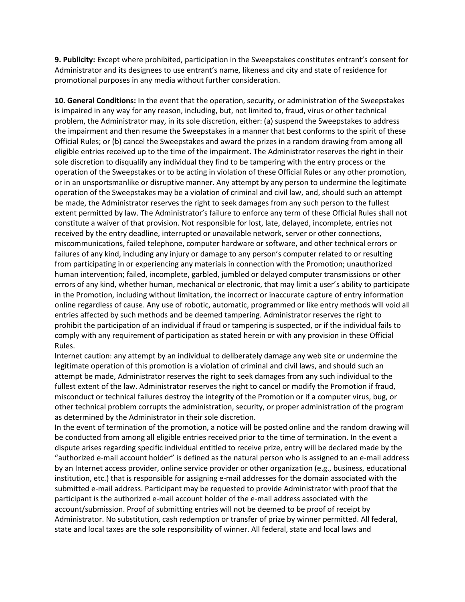**9. Publicity:** Except where prohibited, participation in the Sweepstakes constitutes entrant's consent for Administrator and its designees to use entrant's name, likeness and city and state of residence for promotional purposes in any media without further consideration.

**10. General Conditions:** In the event that the operation, security, or administration of the Sweepstakes is impaired in any way for any reason, including, but, not limited to, fraud, virus or other technical problem, the Administrator may, in its sole discretion, either: (a) suspend the Sweepstakes to address the impairment and then resume the Sweepstakes in a manner that best conforms to the spirit of these Official Rules; or (b) cancel the Sweepstakes and award the prizes in a random drawing from among all eligible entries received up to the time of the impairment. The Administrator reserves the right in their sole discretion to disqualify any individual they find to be tampering with the entry process or the operation of the Sweepstakes or to be acting in violation of these Official Rules or any other promotion, or in an unsportsmanlike or disruptive manner. Any attempt by any person to undermine the legitimate operation of the Sweepstakes may be a violation of criminal and civil law, and, should such an attempt be made, the Administrator reserves the right to seek damages from any such person to the fullest extent permitted by law. The Administrator's failure to enforce any term of these Official Rules shall not constitute a waiver of that provision. Not responsible for lost, late, delayed, incomplete, entries not received by the entry deadline, interrupted or unavailable network, server or other connections, miscommunications, failed telephone, computer hardware or software, and other technical errors or failures of any kind, including any injury or damage to any person's computer related to or resulting from participating in or experiencing any materials in connection with the Promotion; unauthorized human intervention; failed, incomplete, garbled, jumbled or delayed computer transmissions or other errors of any kind, whether human, mechanical or electronic, that may limit a user's ability to participate in the Promotion, including without limitation, the incorrect or inaccurate capture of entry information online regardless of cause. Any use of robotic, automatic, programmed or like entry methods will void all entries affected by such methods and be deemed tampering. Administrator reserves the right to prohibit the participation of an individual if fraud or tampering is suspected, or if the individual fails to comply with any requirement of participation as stated herein or with any provision in these Official Rules.

Internet caution: any attempt by an individual to deliberately damage any web site or undermine the legitimate operation of this promotion is a violation of criminal and civil laws, and should such an attempt be made, Administrator reserves the right to seek damages from any such individual to the fullest extent of the law. Administrator reserves the right to cancel or modify the Promotion if fraud, misconduct or technical failures destroy the integrity of the Promotion or if a computer virus, bug, or other technical problem corrupts the administration, security, or proper administration of the program as determined by the Administrator in their sole discretion.

In the event of termination of the promotion, a notice will be posted online and the random drawing will be conducted from among all eligible entries received prior to the time of termination. In the event a dispute arises regarding specific individual entitled to receive prize, entry will be declared made by the "authorized e-mail account holder" is defined as the natural person who is assigned to an e-mail address by an Internet access provider, online service provider or other organization (e.g., business, educational institution, etc.) that is responsible for assigning e-mail addresses for the domain associated with the submitted e-mail address. Participant may be requested to provide Administrator with proof that the participant is the authorized e-mail account holder of the e-mail address associated with the account/submission. Proof of submitting entries will not be deemed to be proof of receipt by Administrator. No substitution, cash redemption or transfer of prize by winner permitted. All federal, state and local taxes are the sole responsibility of winner. All federal, state and local laws and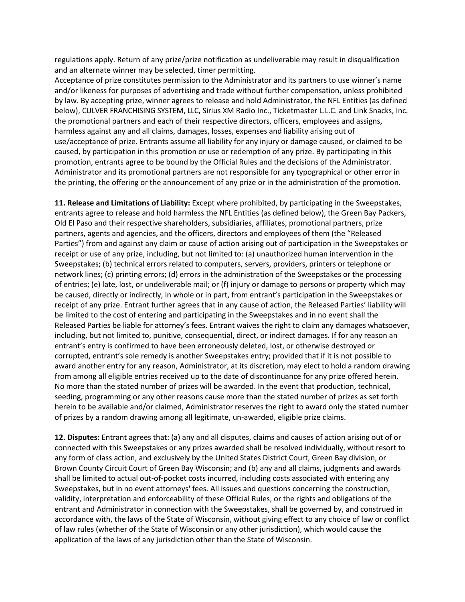regulations apply. Return of any prize/prize notification as undeliverable may result in disqualification and an alternate winner may be selected, timer permitting.

Acceptance of prize constitutes permission to the Administrator and its partners to use winner's name and/or likeness for purposes of advertising and trade without further compensation, unless prohibited by law. By accepting prize, winner agrees to release and hold Administrator, the NFL Entities (as defined below), CULVER FRANCHISING SYSTEM, LLC, Sirius XM Radio Inc., Ticketmaster L.L.C. and Link Snacks, Inc. the promotional partners and each of their respective directors, officers, employees and assigns, harmless against any and all claims, damages, losses, expenses and liability arising out of use/acceptance of prize. Entrants assume all liability for any injury or damage caused, or claimed to be caused, by participation in this promotion or use or redemption of any prize. By participating in this promotion, entrants agree to be bound by the Official Rules and the decisions of the Administrator. Administrator and its promotional partners are not responsible for any typographical or other error in the printing, the offering or the announcement of any prize or in the administration of the promotion.

**11. Release and Limitations of Liability:** Except where prohibited, by participating in the Sweepstakes, entrants agree to release and hold harmless the NFL Entities (as defined below), the Green Bay Packers, Old El Paso and their respective shareholders, subsidiaries, affiliates, promotional partners, prize partners, agents and agencies, and the officers, directors and employees of them (the "Released Parties") from and against any claim or cause of action arising out of participation in the Sweepstakes or receipt or use of any prize, including, but not limited to: (a) unauthorized human intervention in the Sweepstakes; (b) technical errors related to computers, servers, providers, printers or telephone or network lines; (c) printing errors; (d) errors in the administration of the Sweepstakes or the processing of entries; (e) late, lost, or undeliverable mail; or (f) injury or damage to persons or property which may be caused, directly or indirectly, in whole or in part, from entrant's participation in the Sweepstakes or receipt of any prize. Entrant further agrees that in any cause of action, the Released Parties' liability will be limited to the cost of entering and participating in the Sweepstakes and in no event shall the Released Parties be liable for attorney's fees. Entrant waives the right to claim any damages whatsoever, including, but not limited to, punitive, consequential, direct, or indirect damages. If for any reason an entrant's entry is confirmed to have been erroneously deleted, lost, or otherwise destroyed or corrupted, entrant's sole remedy is another Sweepstakes entry; provided that if it is not possible to award another entry for any reason, Administrator, at its discretion, may elect to hold a random drawing from among all eligible entries received up to the date of discontinuance for any prize offered herein. No more than the stated number of prizes will be awarded. In the event that production, technical, seeding, programming or any other reasons cause more than the stated number of prizes as set forth herein to be available and/or claimed, Administrator reserves the right to award only the stated number of prizes by a random drawing among all legitimate, un-awarded, eligible prize claims.

**12. Disputes:** Entrant agrees that: (a) any and all disputes, claims and causes of action arising out of or connected with this Sweepstakes or any prizes awarded shall be resolved individually, without resort to any form of class action, and exclusively by the United States District Court, Green Bay division, or Brown County Circuit Court of Green Bay Wisconsin; and (b) any and all claims, judgments and awards shall be limited to actual out-of-pocket costs incurred, including costs associated with entering any Sweepstakes, but in no event attorneys' fees. All issues and questions concerning the construction, validity, interpretation and enforceability of these Official Rules, or the rights and obligations of the entrant and Administrator in connection with the Sweepstakes, shall be governed by, and construed in accordance with, the laws of the State of Wisconsin, without giving effect to any choice of law or conflict of law rules (whether of the State of Wisconsin or any other jurisdiction), which would cause the application of the laws of any jurisdiction other than the State of Wisconsin.